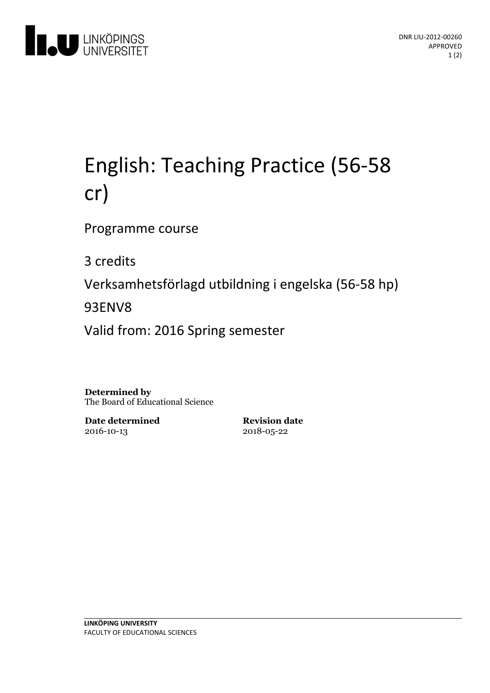

# English:Teaching Practice (56-58 cr)

Programme course

3 credits

Verksamhetsförlagd utbildningi engelska(56-58 hp)

93ENV8

Valid from: 2016 Spring semester

**Determined by** The Board of Educational Science

**Date determined** 2016-10-13

**Revision date** 2018-05-22